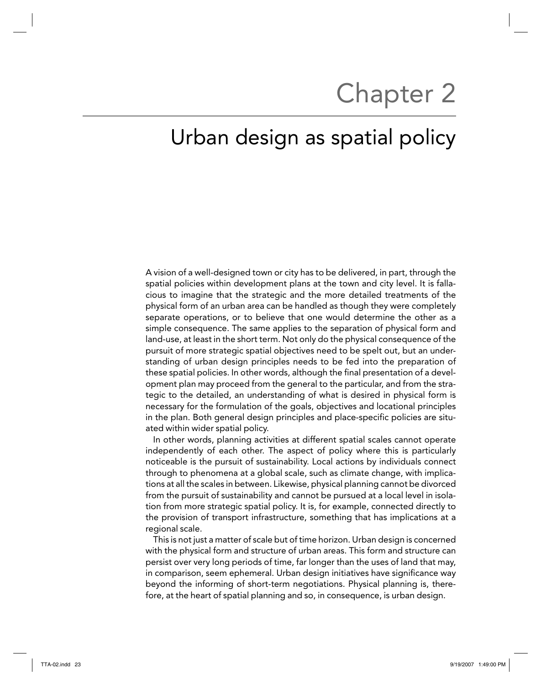# Chapter 2

## Urban design as spatial policy

A vision of a well-designed town or city has to be delivered, in part, through the spatial policies within development plans at the town and city level. It is fallacious to imagine that the strategic and the more detailed treatments of the physical form of an urban area can be handled as though they were completely separate operations, or to believe that one would determine the other as a simple consequence. The same applies to the separation of physical form and land-use, at least in the short term. Not only do the physical consequence of the pursuit of more strategic spatial objectives need to be spelt out, but an understanding of urban design principles needs to be fed into the preparation of these spatial policies. In other words, although the final presentation of a development plan may proceed from the general to the particular, and from the strategic to the detailed, an understanding of what is desired in physical form is necessary for the formulation of the goals, objectives and locational principles in the plan. Both general design principles and place-specific policies are situated within wider spatial policy.

In other words, planning activities at different spatial scales cannot operate independently of each other. The aspect of policy where this is particularly noticeable is the pursuit of sustainability. Local actions by individuals connect through to phenomena at a global scale, such as climate change, with implications at all the scales in between. Likewise, physical planning cannot be divorced from the pursuit of sustainability and cannot be pursued at a local level in isolation from more strategic spatial policy. It is, for example, connected directly to the provision of transport infrastructure, something that has implications at a regional scale.

This is not just a matter of scale but of time horizon. Urban design is concerned with the physical form and structure of urban areas. This form and structure can persist over very long periods of time, far longer than the uses of land that may, in comparison, seem ephemeral. Urban design initiatives have significance way beyond the informing of short-term negotiations. Physical planning is, therefore, at the heart of spatial planning and so, in consequence, is urban design.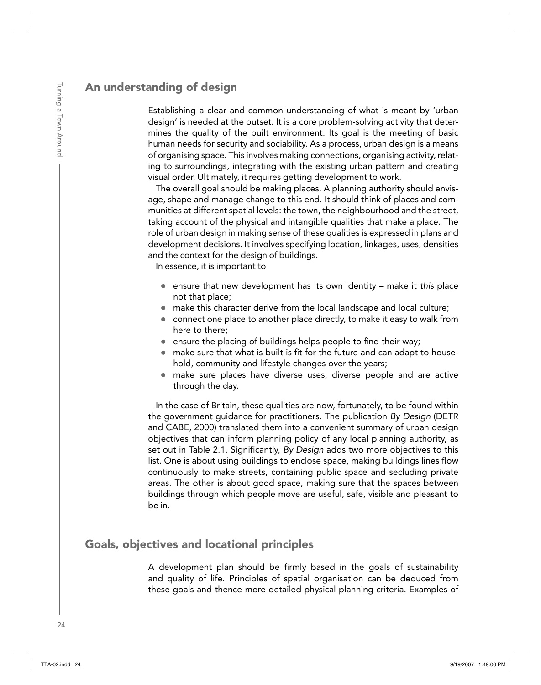## **An understanding of design**

Establishing a clear and common understanding of what is meant by 'urban design' is needed at the outset. It is a core problem-solving activity that determines the quality of the built environment. Its goal is the meeting of basic human needs for security and sociability. As a process, urban design is a means of organising space. This involves making connections, organising activity, relating to surroundings, integrating with the existing urban pattern and creating visual order. Ultimately, it requires getting development to work.

The overall goal should be making places. A planning authority should envisage, shape and manage change to this end. It should think of places and communities at different spatial levels: the town, the neighbourhood and the street, taking account of the physical and intangible qualities that make a place. The role of urban design in making sense of these qualities is expressed in plans and development decisions. It involves specifying location, linkages, uses, densities and the context for the design of buildings.

In essence, it is important to

- $\bullet$  ensure that new development has its own identity make it this place not that place;
- make this character derive from the local landscape and local culture;
- connect one place to another place directly, to make it easy to walk from here to there;
- $\bullet$  ensure the placing of buildings helps people to find their way;
- make sure that what is built is fit for the future and can adapt to household, community and lifestyle changes over the years;
- make sure places have diverse uses, diverse people and are active through the day.

In the case of Britain, these qualities are now, fortunately, to be found within the government guidance for practitioners. The publication By Design (DETR and CABE, 2000) translated them into a convenient summary of urban design objectives that can inform planning policy of any local planning authority, as set out in Table 2.1. Significantly, By Design adds two more objectives to this list. One is about using buildings to enclose space, making buildings lines flow continuously to make streets, containing public space and secluding private areas. The other is about good space, making sure that the spaces between buildings through which people move are useful, safe, visible and pleasant to be in.

## **Goals, objectives and locational principles**

A development plan should be firmly based in the goals of sustainability and quality of life. Principles of spatial organisation can be deduced from these goals and thence more detailed physical planning criteria. Examples of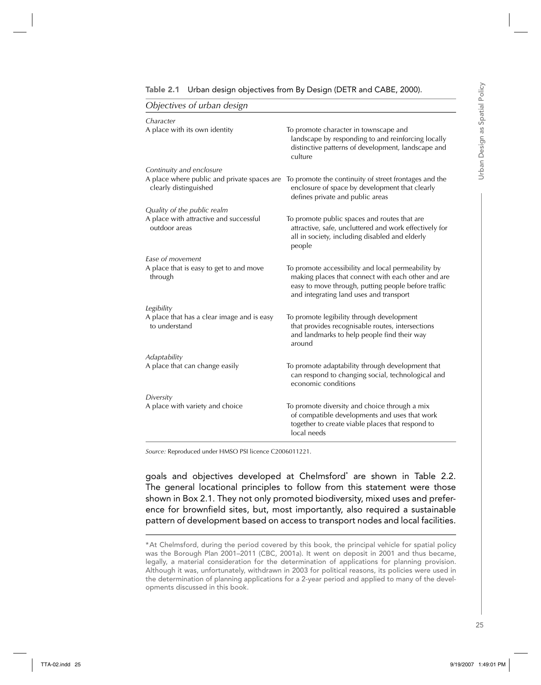|  | Table 2.1 Urban design objectives from By Design (DETR and CABE, 2000). |  |
|--|-------------------------------------------------------------------------|--|
|  |                                                                         |  |

| Character                                                                                        |                                                                                                                                                                                                            |
|--------------------------------------------------------------------------------------------------|------------------------------------------------------------------------------------------------------------------------------------------------------------------------------------------------------------|
| A place with its own identity                                                                    | To promote character in townscape and<br>landscape by responding to and reinforcing locally<br>distinctive patterns of development, landscape and<br>culture                                               |
| Continuity and enclosure<br>A place where public and private spaces are<br>clearly distinguished | To promote the continuity of street frontages and the<br>enclosure of space by development that clearly<br>defines private and public areas                                                                |
| Quality of the public realm<br>A place with attractive and successful<br>outdoor areas           | To promote public spaces and routes that are<br>attractive, safe, uncluttered and work effectively for<br>all in society, including disabled and elderly<br>people                                         |
| Ease of movement<br>A place that is easy to get to and move<br>through                           | To promote accessibility and local permeability by<br>making places that connect with each other and are<br>easy to move through, putting people before traffic<br>and integrating land uses and transport |
| Legibility<br>A place that has a clear image and is easy<br>to understand                        | To promote legibility through development<br>that provides recognisable routes, intersections<br>and landmarks to help people find their way<br>around                                                     |
| Adaptability<br>A place that can change easily                                                   | To promote adaptability through development that<br>can respond to changing social, technological and<br>economic conditions                                                                               |
| Diversity                                                                                        |                                                                                                                                                                                                            |
| A place with variety and choice                                                                  | To promote diversity and choice through a mix<br>of compatible developments and uses that work<br>together to create viable places that respond to<br>local needs                                          |

*Objectives of urban design*

*Source:* Reproduced under HMSO PSI licence C2006011221.

goals and objectives developed at Chelmsford\* are shown in Table 2.2. The general locational principles to follow from this statement were those shown in Box 2.1. They not only promoted biodiversity, mixed uses and preference for brownfield sites, but, most importantly, also required a sustainable pattern of development based on access to transport nodes and local facilities.

<sup>\*</sup>At Chelmsford, during the period covered by this book, the principal vehicle for spatial policy was the Borough Plan 2001–2011 (CBC, 2001a). It went on deposit in 2001 and thus became, legally, a material consideration for the determination of applications for planning provision. Although it was, unfortunately, withdrawn in 2003 for political reasons, its policies were used in the determination of planning applications for a 2-year period and applied to many of the developments discussed in this book.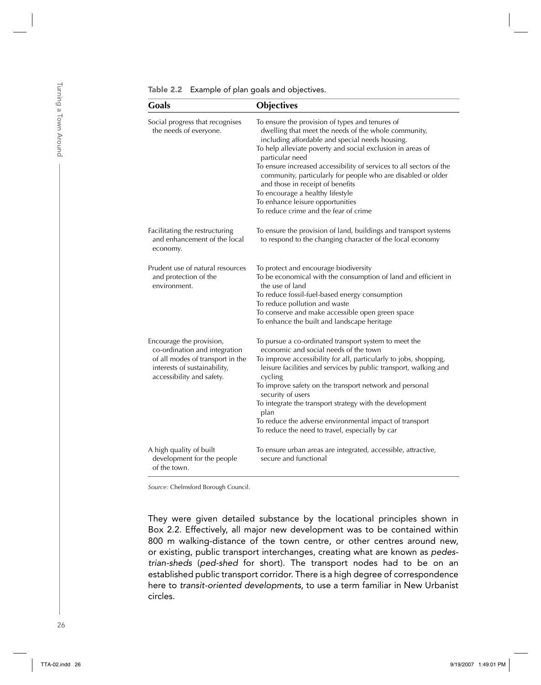| <b>Goals</b>                                                                                                                                               | <b>Objectives</b>                                                                                                                                                                                                                                                                                                                                                                                                                                                                                                                       |
|------------------------------------------------------------------------------------------------------------------------------------------------------------|-----------------------------------------------------------------------------------------------------------------------------------------------------------------------------------------------------------------------------------------------------------------------------------------------------------------------------------------------------------------------------------------------------------------------------------------------------------------------------------------------------------------------------------------|
| Social progress that recognises<br>the needs of everyone.                                                                                                  | To ensure the provision of types and tenures of<br>dwelling that meet the needs of the whole community,<br>including affordable and special needs housing.<br>To help alleviate poverty and social exclusion in areas of<br>particular need<br>To ensure increased accessibility of services to all sectors of the<br>community, particularly for people who are disabled or older<br>and those in receipt of benefits<br>To encourage a healthy lifestyle<br>To enhance leisure opportunities<br>To reduce crime and the fear of crime |
| Facilitating the restructuring<br>and enhancement of the local<br>economy.                                                                                 | To ensure the provision of land, buildings and transport systems<br>to respond to the changing character of the local economy                                                                                                                                                                                                                                                                                                                                                                                                           |
| Prudent use of natural resources<br>and protection of the<br>environment.                                                                                  | To protect and encourage biodiversity<br>To be economical with the consumption of land and efficient in<br>the use of land<br>To reduce fossil-fuel-based energy consumption<br>To reduce pollution and waste<br>To conserve and make accessible open green space<br>To enhance the built and landscape heritage                                                                                                                                                                                                                        |
| Encourage the provision,<br>co-ordination and integration<br>of all modes of transport in the<br>interests of sustainability,<br>accessibility and safety. | To pursue a co-ordinated transport system to meet the<br>economic and social needs of the town<br>To improve accessibility for all, particularly to jobs, shopping,<br>leisure facilities and services by public transport, walking and<br>cycling<br>To improve safety on the transport network and personal<br>security of users<br>To integrate the transport strategy with the development<br>plan<br>To reduce the adverse environmental impact of transport<br>To reduce the need to travel, especially by car                    |
| A high quality of built<br>development for the people<br>of the town.                                                                                      | To ensure urban areas are integrated, accessible, attractive,<br>secure and functional                                                                                                                                                                                                                                                                                                                                                                                                                                                  |

**Table 2.2** Example of plan goals and objectives.

*Source:* Chelmsford Borough Council.

They were given detailed substance by the locational principles shown in Box 2.2. Effectively, all major new development was to be contained within 800 m walking-distance of the town centre, or other centres around new, or existing, public transport interchanges, creating what are known as pedestrian-sheds (ped-shed for short). The transport nodes had to be on an established public transport corridor. There is a high degree of correspondence here to transit-oriented developments, to use a term familiar in New Urbanist circles.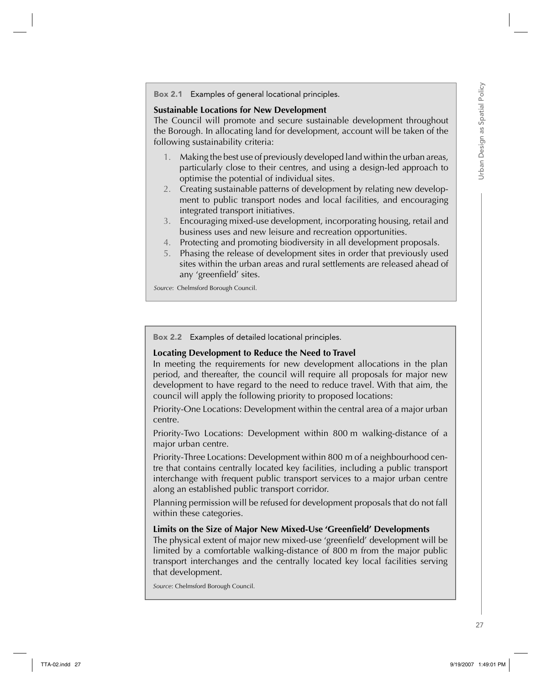**Box 2.1** Examples of general locational principles.

#### **Sustainable Locations for New Development**

The Council will promote and secure sustainable development throughout the Borough. In allocating land for development, account will be taken of the following sustainability criteria:

- 1. Making the best use of previously developed land within the urban areas, particularly close to their centres, and using a design-led approach to optimise the potential of individual sites.
- 2. Creating sustainable patterns of development by relating new development to public transport nodes and local facilities, and encouraging integrated transport initiatives.
- 3. Encouraging mixed-use development, incorporating housing, retail and business uses and new leisure and recreation opportunities.
- 4. Protecting and promoting biodiversity in all development proposals.
- 5. Phasing the release of development sites in order that previously used sites within the urban areas and rural settlements are released ahead of any 'greenfield' sites.

*Source*: Chelmsford Borough Council.

**Box 2.2** Examples of detailed locational principles.

#### **Locating Development to Reduce the Need to Travel**

In meeting the requirements for new development allocations in the plan period, and thereafter, the council will require all proposals for major new development to have regard to the need to reduce travel. With that aim, the council will apply the following priority to proposed locations:

Priority-One Locations: Development within the central area of a major urban centre.

Priority-Two Locations: Development within 800 m walking-distance of a major urban centre.

Priority-Three Locations: Development within 800 m of a neighbourhood centre that contains centrally located key facilities, including a public transport interchange with frequent public transport services to a major urban centre along an established public transport corridor.

Planning permission will be refused for development proposals that do not fall within these categories.

#### **Limits on the Size of Major New Mixed-Use 'Greenfield' Developments**

The physical extent of major new mixed-use 'greenfield' development will be limited by a comfortable walking-distance of 800 m from the major public transport interchanges and the centrally located key local facilities serving that development.

*Source*: Chelmsford Borough Council.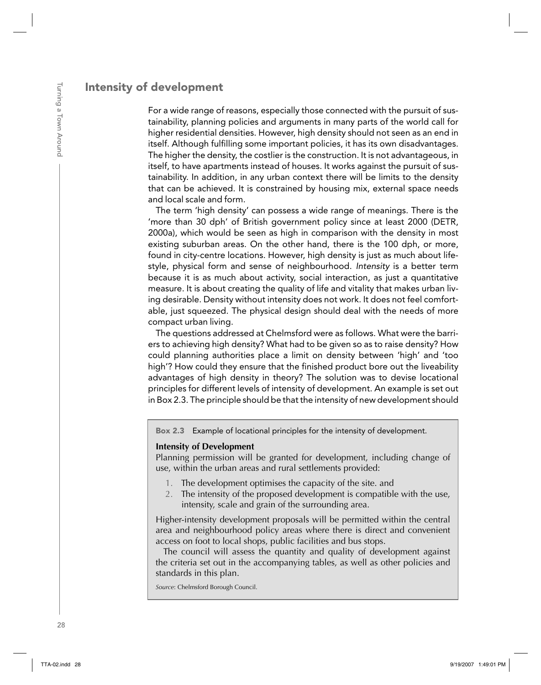## **Intensity of development**

For a wide range of reasons, especially those connected with the pursuit of sustainability, planning policies and arguments in many parts of the world call for higher residential densities. However, high density should not seen as an end in itself. Although fulfilling some important policies, it has its own disadvantages. The higher the density, the costlier is the construction. It is not advantageous, in itself, to have apartments instead of houses. It works against the pursuit of sustainability. In addition, in any urban context there will be limits to the density that can be achieved. It is constrained by housing mix, external space needs and local scale and form.

The term 'high density' can possess a wide range of meanings. There is the 'more than 30 dph' of British government policy since at least 2000 (DETR, 2000a), which would be seen as high in comparison with the density in most existing suburban areas. On the other hand, there is the 100 dph, or more, found in city-centre locations. However, high density is just as much about lifestyle, physical form and sense of neighbourhood. Intensity is a better term because it is as much about activity, social interaction, as just a quantitative measure. It is about creating the quality of life and vitality that makes urban living desirable. Density without intensity does not work. It does not feel comfortable, just squeezed. The physical design should deal with the needs of more compact urban living.

The questions addressed at Chelmsford were as follows. What were the barriers to achieving high density? What had to be given so as to raise density? How could planning authorities place a limit on density between 'high' and 'too high'? How could they ensure that the finished product bore out the liveability advantages of high density in theory? The solution was to devise locational principles for different levels of intensity of development. An example is set out in Box 2.3. The principle should be that the intensity of new development should

**Box 2.3** Example of locational principles for the intensity of development.

#### **Intensity of Development**

Planning permission will be granted for development, including change of use, within the urban areas and rural settlements provided:

- 1. The development optimises the capacity of the site. and
- 2. The intensity of the proposed development is compatible with the use, intensity, scale and grain of the surrounding area.

Higher-intensity development proposals will be permitted within the central area and neighbourhood policy areas where there is direct and convenient access on foot to local shops, public facilities and bus stops.

The council will assess the quantity and quality of development against the criteria set out in the accompanying tables, as well as other policies and standards in this plan.

*Source*: Chelmsford Borough Council.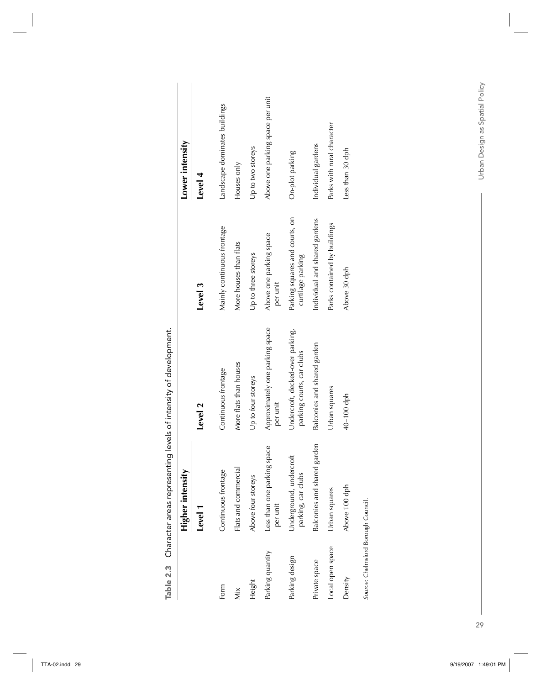|                  | Higher intensity                              |                                                               |                                                     | Lower intensity                  |
|------------------|-----------------------------------------------|---------------------------------------------------------------|-----------------------------------------------------|----------------------------------|
|                  | Level 1                                       | Level <sub>2</sub>                                            | Level 3                                             | Level 4                          |
| Form             | Continuous frontage                           | Continuous frontage                                           | Mainly continuous frontage                          | Landscape dominates buildings    |
| Mix              | Flats and commercial                          | More flats than houses                                        | More houses than flats                              | Houses only                      |
| Height           | 57<br>Above four storey                       | Up to four storeys                                            | Up to three storeys                                 | Up to two storeys                |
| Parking quantity | Less than one parking space<br>per unit       | Approximately one parking space<br>per unit                   | Above one parking space<br>per unit                 | Above one parking space per unit |
| Parking design   | Underground, undercroft<br>parking, car clubs | Undercroft, decked-over parking,<br>parking courts, car clubs | Parking squares and courts, on<br>curtilage parking | On-plot parking                  |
| Private space    | Balconies and shared garden                   | Balconies and shared garden                                   | Individual and shared gardens                       | Individual gardens               |
| Local open space | Urban squares                                 | Urban squares                                                 | Parks contained by buildings                        | Parks with rural character       |
| Density          | Above 100 dph                                 | 40-100 dph                                                    | Above 30 dph                                        | Less than 30 dph                 |
|                  |                                               |                                                               |                                                     |                                  |

Table 2.3 Character areas representing levels of intensity of development. **Table 2.3** Character areas representing levels of intensity of development.

Source: Chelmsford Borough Council. *Source*: Chelmsford Borough Council.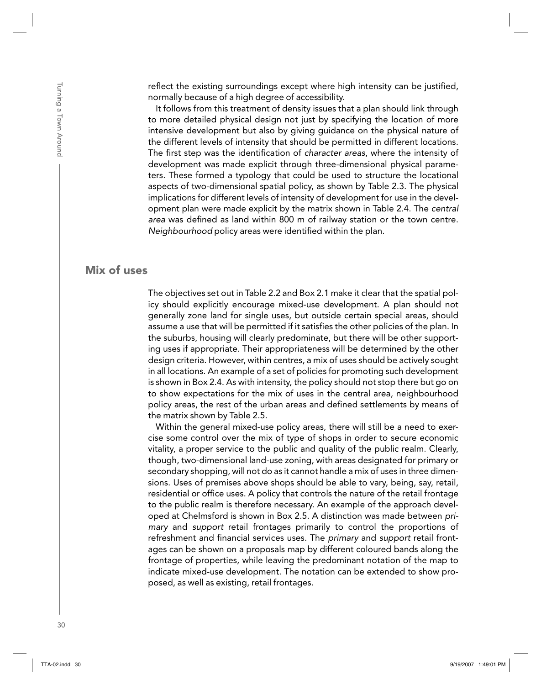reflect the existing surroundings except where high intensity can be justified, normally because of a high degree of accessibility.

It follows from this treatment of density issues that a plan should link through to more detailed physical design not just by specifying the location of more intensive development but also by giving guidance on the physical nature of the different levels of intensity that should be permitted in different locations. The first step was the identification of character areas, where the intensity of development was made explicit through three-dimensional physical parameters. These formed a typology that could be used to structure the locational aspects of two-dimensional spatial policy, as shown by Table 2.3. The physical implications for different levels of intensity of development for use in the development plan were made explicit by the matrix shown in Table 2.4. The central area was defined as land within 800 m of railway station or the town centre. Neighbourhood policy areas were identified within the plan.

### **Mix of uses**

The objectives set out in Table 2.2 and Box 2.1 make it clear that the spatial policy should explicitly encourage mixed-use development. A plan should not generally zone land for single uses, but outside certain special areas, should assume a use that will be permitted if it satisfies the other policies of the plan. In the suburbs, housing will clearly predominate, but there will be other supporting uses if appropriate. Their appropriateness will be determined by the other design criteria. However, within centres, a mix of uses should be actively sought in all locations. An example of a set of policies for promoting such development is shown in Box 2.4. As with intensity, the policy should not stop there but go on to show expectations for the mix of uses in the central area, neighbourhood policy areas, the rest of the urban areas and defined settlements by means of the matrix shown by Table 2.5.

Within the general mixed-use policy areas, there will still be a need to exercise some control over the mix of type of shops in order to secure economic vitality, a proper service to the public and quality of the public realm. Clearly, though, two-dimensional land-use zoning, with areas designated for primary or secondary shopping, will not do as it cannot handle a mix of uses in three dimensions. Uses of premises above shops should be able to vary, being, say, retail, residential or office uses. A policy that controls the nature of the retail frontage to the public realm is therefore necessary. An example of the approach developed at Chelmsford is shown in Box 2.5. A distinction was made between primary and support retail frontages primarily to control the proportions of refreshment and financial services uses. The primary and support retail frontages can be shown on a proposals map by different coloured bands along the frontage of properties, while leaving the predominant notation of the map to indicate mixed-use development. The notation can be extended to show proposed, as well as existing, retail frontages.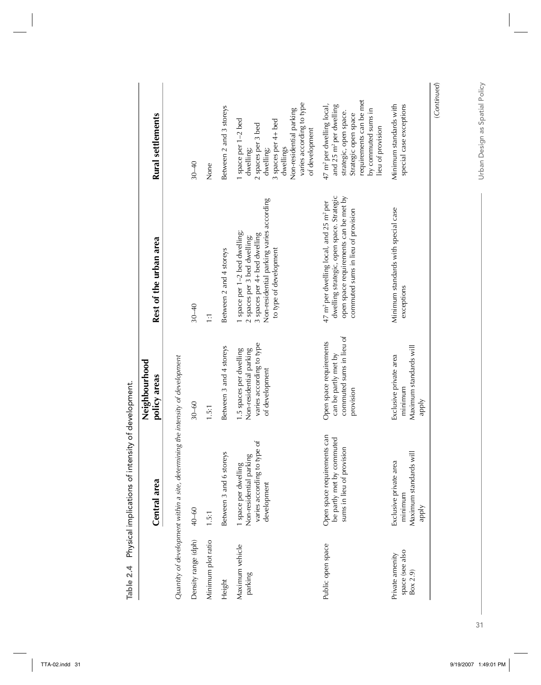|                                                | Central area                                                                                     | Neighbourhood<br>policy areas                                                                    | Rest of the urban area                                                                                                                                                                      | Rural settlements                                                                                                                                                                                    |
|------------------------------------------------|--------------------------------------------------------------------------------------------------|--------------------------------------------------------------------------------------------------|---------------------------------------------------------------------------------------------------------------------------------------------------------------------------------------------|------------------------------------------------------------------------------------------------------------------------------------------------------------------------------------------------------|
|                                                | Quantity of development within a site, determining the intensity of development                  |                                                                                                  |                                                                                                                                                                                             |                                                                                                                                                                                                      |
| Density range (dph)                            | 40-60                                                                                            | $30 - 60$                                                                                        | 30-40                                                                                                                                                                                       | $30 - 40$                                                                                                                                                                                            |
| Minimum plot ratio                             | 1.5:1                                                                                            | 1.5:1                                                                                            | $\Xi$                                                                                                                                                                                       | None                                                                                                                                                                                                 |
| Height                                         | 6 storeys<br>Between 3 and                                                                       | Between 3 and 4 storeys                                                                          | Between 2 and 4 storeys                                                                                                                                                                     | Between 2 and 3 storeys                                                                                                                                                                              |
| Maximum vehicle<br>parking                     | varies according to type of<br>parking<br>1 space per dwelling<br>Non-residential<br>development | varies according to type<br>Non-residential parking<br>1.5 spaces per dwelling<br>of development | Non-residential parking varies according<br>1 space per 1-2 bed dwelling;<br>3 spaces per 4+ bed dwelling<br>2 spaces per 3 bed dwelling;<br>to type of development                         | varies according to type<br>Non-residential parking<br>1 space per 1-2 bed<br>3 spaces per 4+ bed<br>2 spaces per 3 bed<br>of development<br>dwellings<br>dwelling;<br>dwelling:                     |
| Public open space                              | Open space requirements can<br>be partly met by commuted<br>provision<br>sums in lieu of         | commuted sums in lieu of<br>Open space requirements<br>can be partly met by<br>provision         | dwelling strategic, open space. Strategic<br>open space requirements can be met by<br>47 m <sup>2</sup> per dwelling local, and 25 m <sup>2</sup> per<br>commuted sums in lieu of provision | requirements can be met<br>47 m <sup>2</sup> per dwelling local,<br>and 25 m <sup>2</sup> per dwelling<br>by commuted sums in<br>strategic, open space.<br>Strategic open space<br>lieu of provision |
| space (see also<br>Private amenity<br>Box 2.9) | Maximum standards will<br>Exclusive private area<br>minimum<br>apply                             | Maximum standards will<br>Exclusive private area<br>minimum<br>apply                             | Minimum standards with special case<br>exceptions                                                                                                                                           | Minimum standards with<br>special case exceptions                                                                                                                                                    |
|                                                |                                                                                                  |                                                                                                  |                                                                                                                                                                                             | (Continued)                                                                                                                                                                                          |

Table 2.4 Physical implications of intensity of development. **Table 2.4** Physical implications of intensity of development.

Urban Design as Spatial Policy Urban Design as Spatial Policy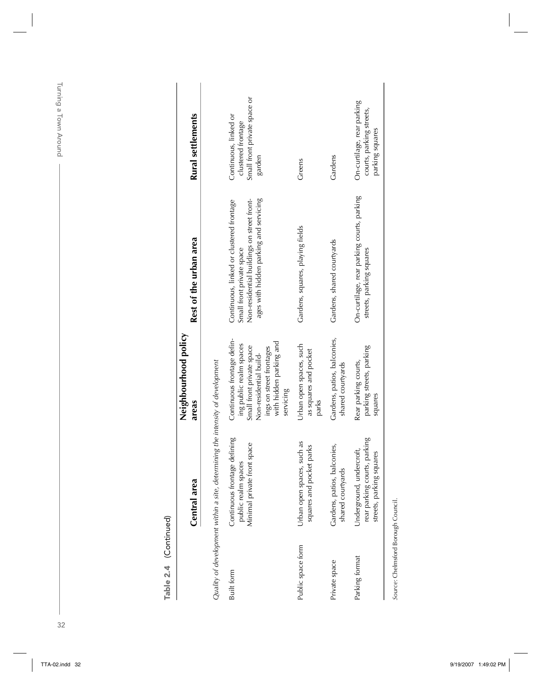| t  |  |
|----|--|
|    |  |
| മ  |  |
|    |  |
|    |  |
|    |  |
|    |  |
| ۰  |  |
|    |  |
|    |  |
|    |  |
| ×. |  |
|    |  |

Table 2.4 (Continued) **Table 2.4** (Continued)

|                   | Central area                                                                         | Neighbourhood policy<br>areas                                                                                                                                                    | Rest of the urban area                                                                                                                                        | Rural settlements                                                                     |
|-------------------|--------------------------------------------------------------------------------------|----------------------------------------------------------------------------------------------------------------------------------------------------------------------------------|---------------------------------------------------------------------------------------------------------------------------------------------------------------|---------------------------------------------------------------------------------------|
|                   | Quality of development within a site, determining the intensity of development       |                                                                                                                                                                                  |                                                                                                                                                               |                                                                                       |
| <b>Built form</b> | Continuous frontage defining<br>Minimal private front space<br>public realm spaces   | Continuous frontage defin-<br>with hidden parking and<br>ing public realm spaces<br>Small front private space<br>ings on street frontages<br>Non-residential build-<br>servicing | ages with hidden parking and servicing<br>Non-residential buildings on street front-<br>Continuous, linked or clustered frontage<br>Small front private space | Small front private space or<br>Continuous, linked or<br>clustered frontage<br>garden |
| Public space form | Urban open spaces, such as<br>squares and pocket parks                               | Urban open spaces, such<br>as squares and pocket<br>parks                                                                                                                        | Gardens, squares, playing fields                                                                                                                              | Greens                                                                                |
| Private space     | Gardens, patios, balconies,<br>shared courtyards                                     | Gardens, patios, balconies,<br>shared courtyards                                                                                                                                 | Gardens, shared courtyards                                                                                                                                    | Gardens                                                                               |
| Parking format    | rear parking courts, parking<br>Underground, undercroft,<br>streets, parking squares | parking streets, parking<br>Rear parking courts,<br>squares                                                                                                                      | On-curtilage, rear parking courts, parking<br>streets, parking squares                                                                                        | On-curtilage, rear parking<br>courts, parking streets,<br>parking squares             |
|                   |                                                                                      |                                                                                                                                                                                  |                                                                                                                                                               |                                                                                       |

Source: Chelmsford Borough Council. *Source*: Chelmsford Borough Council.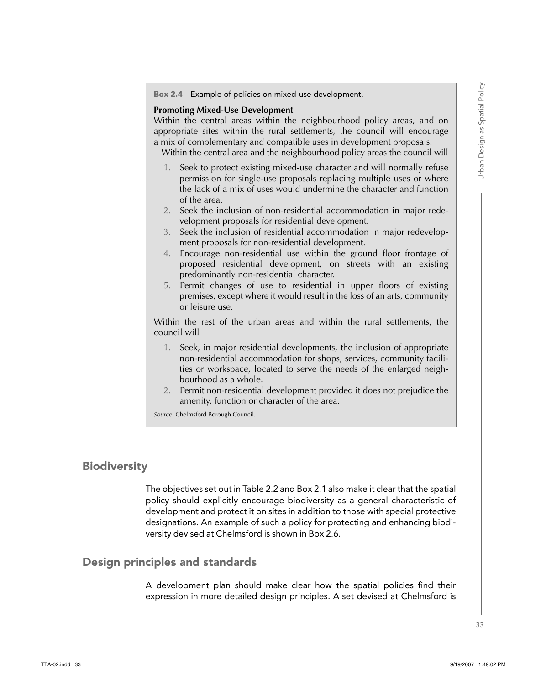**Box 2.4** Example of policies on mixed-use development.

#### **Promoting Mixed-Use Development**

Within the central areas within the neighbourhood policy areas, and on appropriate sites within the rural settlements, the council will encourage a mix of complementary and compatible uses in development proposals.

Within the central area and the neighbourhood policy areas the council will

- 1. Seek to protect existing mixed-use character and will normally refuse permission for single-use proposals replacing multiple uses or where the lack of a mix of uses would undermine the character and function of the area.
- 2. Seek the inclusion of non-residential accommodation in major redevelopment proposals for residential development.
- 3. Seek the inclusion of residential accommodation in major redevelopment proposals for non-residential development.
- 4. Encourage non-residential use within the ground floor frontage of proposed residential development, on streets with an existing predominantly non-residential character.
- 5. Permit changes of use to residential in upper floors of existing premises, except where it would result in the loss of an arts, community or leisure use.

Within the rest of the urban areas and within the rural settlements, the council will

- 1. Seek, in major residential developments, the inclusion of appropriate non-residential accommodation for shops, services, community facilities or workspace, located to serve the needs of the enlarged neighbourhood as a whole.
- 2. Permit non-residential development provided it does not prejudice the amenity, function or character of the area.

*Source*: Chelmsford Borough Council.

## **Biodiversity**

The objectives set out in Table 2.2 and Box 2.1 also make it clear that the spatial policy should explicitly encourage biodiversity as a general characteristic of development and protect it on sites in addition to those with special protective designations. An example of such a policy for protecting and enhancing biodiversity devised at Chelmsford is shown in Box 2.6.

## **Design principles and standards**

A development plan should make clear how the spatial policies find their expression in more detailed design principles. A set devised at Chelmsford is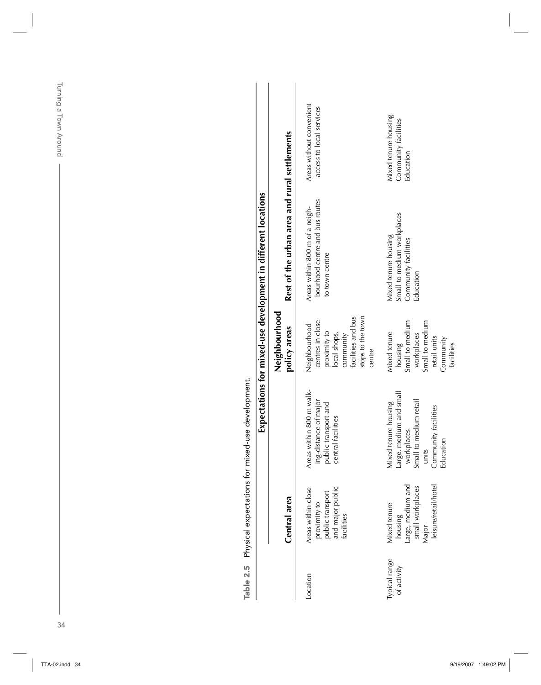| t              |  |
|----------------|--|
| $\Omega$<br>í. |  |
|                |  |
| ۱              |  |
|                |  |
| Ξ              |  |
|                |  |
|                |  |
|                |  |
|                |  |
|                |  |
|                |  |
|                |  |
|                |  |
|                |  |
|                |  |

Table 2.5 Physical expectations for mixed-use development. **Table 2.5** Physical expectations for mixed-use development.

**Expectations for mixed-use development in different locations**

Expectations for mixed-use development in different locations

|                              | Central area                                                                                     |                                                                                                                                       | Neighbourhood<br>policy areas                                                                                                       | Rest of the urban area and rural settlements                                            |                                                           |  |
|------------------------------|--------------------------------------------------------------------------------------------------|---------------------------------------------------------------------------------------------------------------------------------------|-------------------------------------------------------------------------------------------------------------------------------------|-----------------------------------------------------------------------------------------|-----------------------------------------------------------|--|
| Location                     | Areas within close<br>proximity to<br>public transport<br>and major public<br>facilities         | Areas within 800 m walk-<br>ing-distance of major<br>public transport and<br>central facilities                                       | stops to the town<br>facilities and bus<br>centres in close<br>Neighbourhood<br>proximity to<br>local shops,<br>community<br>centre | bourhood centre and bus routes<br>Areas within 800 m of a neigh-<br>to town centre      | Areas without convenient<br>access to local services      |  |
| Typical range<br>of activity | leisure/retail/hotel<br>arge, medium and<br>small workplaces<br>Vixed tenure<br>housing<br>Major | Large, medium and small<br>Small to medium retail<br>Mixed tenure housing<br>Community facilities<br>workplaces<br>Education<br>units | Small to medium<br>Small to medium<br>Mixed tenure<br>workplaces<br>retail units<br>Community<br>facilities<br>housing              | Small to medium workplaces<br>Mixed tenure housing<br>Community facilities<br>Education | Mixed tenure housing<br>Community facilities<br>Education |  |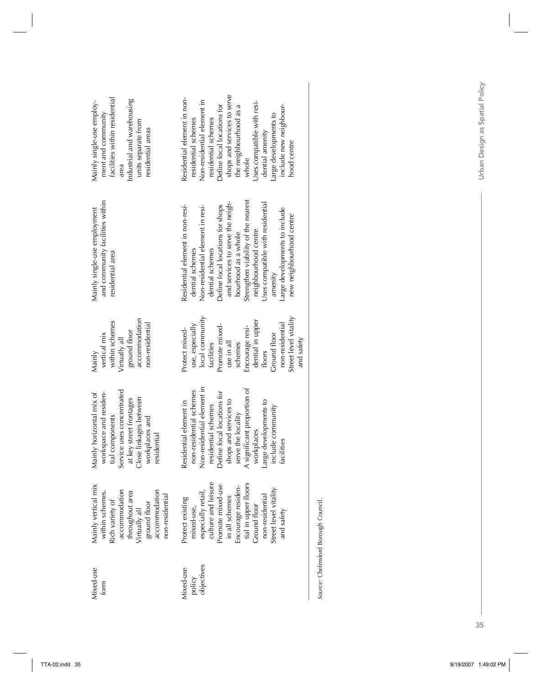| Mixed-use<br>form                 | Mainly vertical mix<br>within schemes.<br>accommodation<br>accommodation<br>throughout area<br>non-residential<br>kich variety of<br>Virtually all<br>ground floor                                                                        | Service uses concentrated<br>workspace and residen-<br>Mainly horizontal mix of<br>Close linkages between<br>at key street frontages<br>tial components<br>workplaces and<br>residential                                                                                                     | accommodation<br>within schemes<br>non-residential<br>ground floor<br>vertical mix<br>Virtually all<br>Mainly                                                                                                                                   | and community facilities within<br>Mainly single-use employment<br>residential area                                                                                                                                                                                                                                                                                                  | facilities within residential<br>Industrial and warehousing<br>Mainly single-use employ-<br>ment and community<br>units separate from<br>residential areas<br>area                                                                                                                                                         |
|-----------------------------------|-------------------------------------------------------------------------------------------------------------------------------------------------------------------------------------------------------------------------------------------|----------------------------------------------------------------------------------------------------------------------------------------------------------------------------------------------------------------------------------------------------------------------------------------------|-------------------------------------------------------------------------------------------------------------------------------------------------------------------------------------------------------------------------------------------------|--------------------------------------------------------------------------------------------------------------------------------------------------------------------------------------------------------------------------------------------------------------------------------------------------------------------------------------------------------------------------------------|----------------------------------------------------------------------------------------------------------------------------------------------------------------------------------------------------------------------------------------------------------------------------------------------------------------------------|
| objectives<br>Mixed-use<br>policy | especially retail,<br>culture and leisure<br>tial in upper floors<br>Ground floor<br>romote mixed-use<br>incourage residen-<br>Street level vitality<br>non-residential<br>in all schemes<br>Protect existing<br>mixed-use,<br>and safety | Non-residential element in<br>A significant proportion of<br>non-residential schemes<br>Define focal locations for<br>Large developments to<br>shops and services to<br>Residential element in<br>residential schemes<br>include community<br>serve the locality<br>workplaces<br>facilities | local community<br>Street level vitality<br>dential in upper<br>non-residential<br>use, especially<br>Promote mixed-<br>Encourage resi-<br>Protect mixed-<br><b>Ground floor</b><br>and safety<br>use in all<br>schemes<br>facilities<br>floors | Strengthen viability of the nearest<br>and services to serve the neigh-<br>Uses compatible with residential<br>Residential element in non-resi-<br>Define focal locations for shops<br>Non-residential element in resi-<br>Large developments to include<br>new neighbourhood centre<br>neighbourhood centre<br>bourhood as a whole<br>dential schemes<br>dential schemes<br>amenity | shops and services to serve<br>Residential element in non-<br>Non-residential element in<br>Uses compatible with resi-<br>Define focal locations for<br>include new neighbour-<br>the neighbourhood as a<br>Large developments to<br>residential schemes<br>residential schemes<br>dential amenity<br>hood centre<br>whole |

Source: Chelmsford Borough Council. *Source*: Chelmsford Borough Council.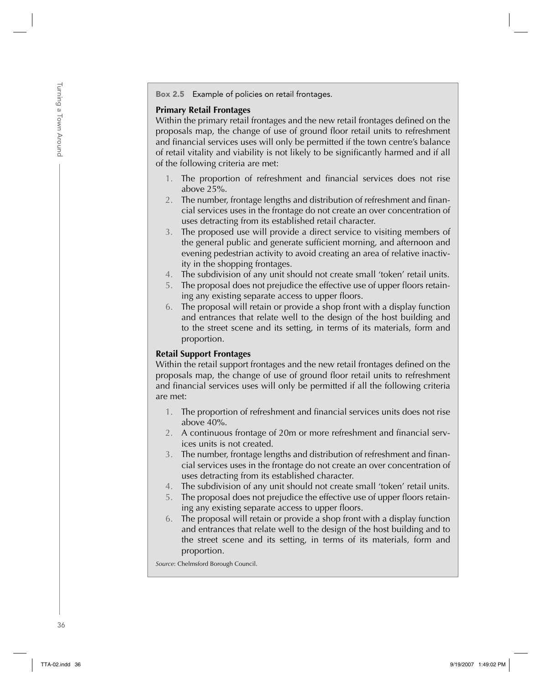**Box 2.5** Example of policies on retail frontages.

#### **Primary Retail Frontages**

Within the primary retail frontages and the new retail frontages defined on the proposals map, the change of use of ground floor retail units to refreshment and financial services uses will only be permitted if the town centre's balance of retail vitality and viability is not likely to be significantly harmed and if all of the following criteria are met:

- 1. The proportion of refreshment and financial services does not rise above 25%.
- 2. The number, frontage lengths and distribution of refreshment and financial services uses in the frontage do not create an over concentration of uses detracting from its established retail character.
- 3. The proposed use will provide a direct service to visiting members of the general public and generate sufficient morning, and afternoon and evening pedestrian activity to avoid creating an area of relative inactivity in the shopping frontages.
- 4. The subdivision of any unit should not create small 'token' retail units.
- 5. The proposal does not prejudice the effective use of upper floors retaining any existing separate access to upper floors.
- 6. The proposal will retain or provide a shop front with a display function and entrances that relate well to the design of the host building and to the street scene and its setting, in terms of its materials, form and proportion.

#### **Retail Support Frontages**

Within the retail support frontages and the new retail frontages defined on the proposals map, the change of use of ground floor retail units to refreshment and financial services uses will only be permitted if all the following criteria are met:

- 1. The proportion of refreshment and financial services units does not rise above 40%.
- 2. A continuous frontage of 20m or more refreshment and financial services units is not created.
- 3. The number, frontage lengths and distribution of refreshment and financial services uses in the frontage do not create an over concentration of uses detracting from its established character.
- 4. The subdivision of any unit should not create small 'token' retail units.
- 5. The proposal does not prejudice the effective use of upper floors retaining any existing separate access to upper floors.
- 6. The proposal will retain or provide a shop front with a display function and entrances that relate well to the design of the host building and to the street scene and its setting, in terms of its materials, form and proportion.

*Source*: Chelmsford Borough Council.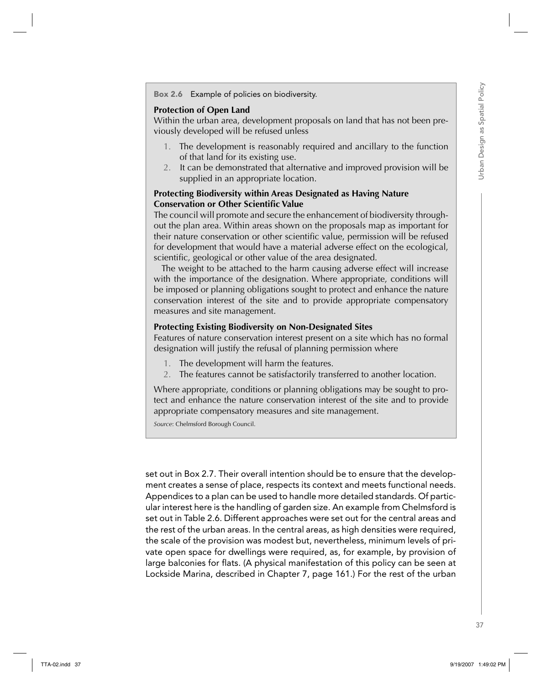**Box 2.6** Example of policies on biodiversity.

#### **Protection of Open Land**

Within the urban area, development proposals on land that has not been previously developed will be refused unless

- 1. The development is reasonably required and ancillary to the function of that land for its existing use.
- 2. It can be demonstrated that alternative and improved provision will be supplied in an appropriate location.

#### **Protecting Biodiversity within Areas Designated as Having Nature Conservation or Other Scientific Value**

The council will promote and secure the enhancement of biodiversity throughout the plan area. Within areas shown on the proposals map as important for their nature conservation or other scientific value, permission will be refused for development that would have a material adverse effect on the ecological, scientific, geological or other value of the area designated.

The weight to be attached to the harm causing adverse effect will increase with the importance of the designation. Where appropriate, conditions will be imposed or planning obligations sought to protect and enhance the nature conservation interest of the site and to provide appropriate compensatory measures and site management.

#### **Protecting Existing Biodiversity on Non-Designated Sites**

Features of nature conservation interest present on a site which has no formal designation will justify the refusal of planning permission where

- 1. The development will harm the features.
- 2. The features cannot be satisfactorily transferred to another location.

Where appropriate, conditions or planning obligations may be sought to protect and enhance the nature conservation interest of the site and to provide appropriate compensatory measures and site management.

*Source*: Chelmsford Borough Council.

set out in Box 2.7. Their overall intention should be to ensure that the development creates a sense of place, respects its context and meets functional needs. Appendices to a plan can be used to handle more detailed standards. Of particular interest here is the handling of garden size. An example from Chelmsford is set out in Table 2.6. Different approaches were set out for the central areas and the rest of the urban areas. In the central areas, as high densities were required, the scale of the provision was modest but, nevertheless, minimum levels of private open space for dwellings were required, as, for example, by provision of large balconies for flats. (A physical manifestation of this policy can be seen at Lockside Marina, described in Chapter 7, page 161.) For the rest of the urban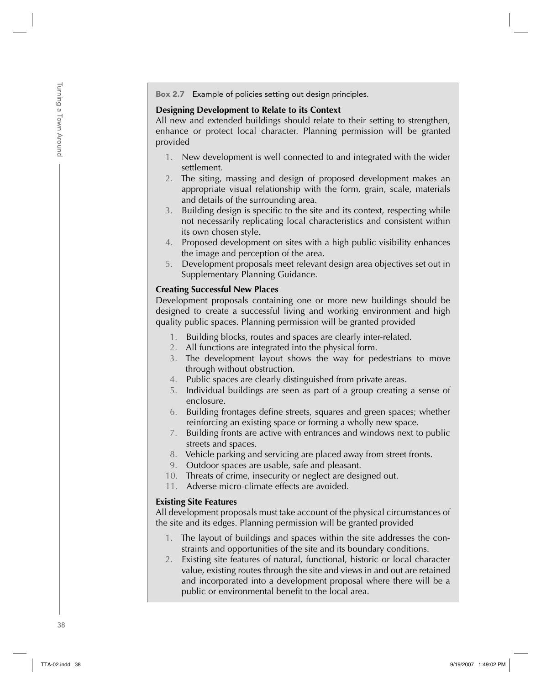**Box 2.7** Example of policies setting out design principles.

#### **Designing Development to Relate to its Context**

All new and extended buildings should relate to their setting to strengthen, enhance or protect local character. Planning permission will be granted provided

- 1. New development is well connected to and integrated with the wider settlement.
- 2. The siting, massing and design of proposed development makes an appropriate visual relationship with the form, grain, scale, materials and details of the surrounding area.
- 3. Building design is specific to the site and its context, respecting while not necessarily replicating local characteristics and consistent within its own chosen style.
- 4. Proposed development on sites with a high public visibility enhances the image and perception of the area.
- 5. Development proposals meet relevant design area objectives set out in Supplementary Planning Guidance.

#### **Creating Successful New Places**

Development proposals containing one or more new buildings should be designed to create a successful living and working environment and high quality public spaces. Planning permission will be granted provided

- 1. Building blocks, routes and spaces are clearly inter-related.
- 2. All functions are integrated into the physical form.
- 3. The development layout shows the way for pedestrians to move through without obstruction.
- 4. Public spaces are clearly distinguished from private areas.
- 5. Individual buildings are seen as part of a group creating a sense of enclosure.
- 6. Building frontages define streets, squares and green spaces; whether reinforcing an existing space or forming a wholly new space.
- 7. Building fronts are active with entrances and windows next to public streets and spaces.
- 8. Vehicle parking and servicing are placed away from street fronts.
- 9. Outdoor spaces are usable, safe and pleasant.
- 10. Threats of crime, insecurity or neglect are designed out.
- 11. Adverse micro-climate effects are avoided.

#### **Existing Site Features**

All development proposals must take account of the physical circumstances of the site and its edges. Planning permission will be granted provided

- 1. The layout of buildings and spaces within the site addresses the constraints and opportunities of the site and its boundary conditions.
- 2. Existing site features of natural, functional, historic or local character value, existing routes through the site and views in and out are retained and incorporated into a development proposal where there will be a public or environmental benefit to the local area.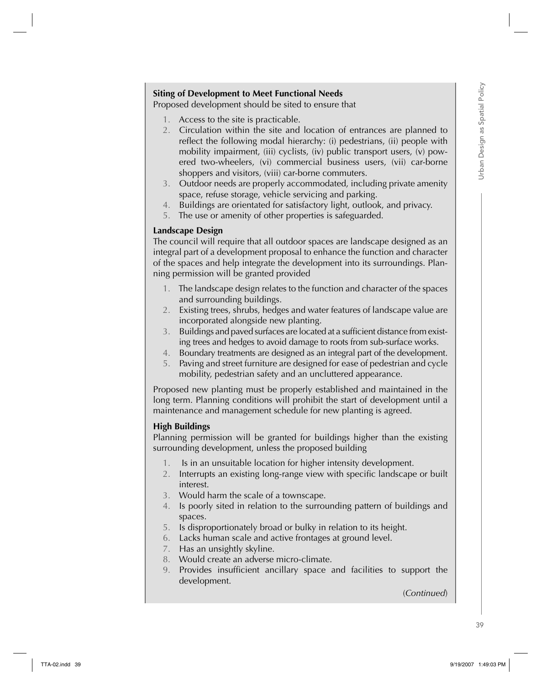#### **Siting of Development to Meet Functional Needs**

Proposed development should be sited to ensure that

- 1. Access to the site is practicable.
- 2. Circulation within the site and location of entrances are planned to reflect the following modal hierarchy: (i) pedestrians, (ii) people with mobility impairment, (iii) cyclists, (iv) public transport users, (v) powered two-wheelers, (vi) commercial business users, (vii) car-borne shoppers and visitors, (viii) car-borne commuters.
- 3. Outdoor needs are properly accommodated, including private amenity space, refuse storage, vehicle servicing and parking.
- 4. Buildings are orientated for satisfactory light, outlook, and privacy.
- 5. The use or amenity of other properties is safeguarded.

#### **Landscape Design**

The council will require that all outdoor spaces are landscape designed as an integral part of a development proposal to enhance the function and character of the spaces and help integrate the development into its surroundings. Planning permission will be granted provided

- 1. The landscape design relates to the function and character of the spaces and surrounding buildings.
- 2. Existing trees, shrubs, hedges and water features of landscape value are incorporated alongside new planting.
- 3. Buildings and paved surfaces are located at a sufficient distance from existing trees and hedges to avoid damage to roots from sub-surface works.
- 4. Boundary treatments are designed as an integral part of the development.
- 5. Paving and street furniture are designed for ease of pedestrian and cycle mobility, pedestrian safety and an uncluttered appearance.

Proposed new planting must be properly established and maintained in the long term. Planning conditions will prohibit the start of development until a maintenance and management schedule for new planting is agreed.

#### **High Buildings**

Planning permission will be granted for buildings higher than the existing surrounding development, unless the proposed building

- 1. Is in an unsuitable location for higher intensity development.
- 2. Interrupts an existing long-range view with specific landscape or built interest.
- 3. Would harm the scale of a townscape.
- 4. Is poorly sited in relation to the surrounding pattern of buildings and spaces.
- 5. Is disproportionately broad or bulky in relation to its height.
- 6. Lacks human scale and active frontages at ground level.
- 7. Has an unsightly skyline.
- 8. Would create an adverse micro-climate.
- 9. Provides insufficient ancillary space and facilities to support the development.

(*Continued*)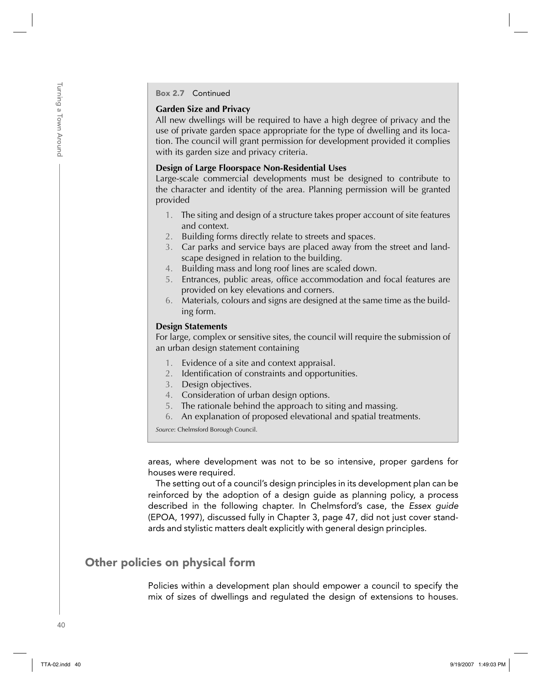#### **Garden Size and Privacy**

All new dwellings will be required to have a high degree of privacy and the use of private garden space appropriate for the type of dwelling and its location. The council will grant permission for development provided it complies with its garden size and privacy criteria.

#### **Design of Large Floorspace Non-Residential Uses**

Large-scale commercial developments must be designed to contribute to the character and identity of the area. Planning permission will be granted provided

- 1. The siting and design of a structure takes proper account of site features and context.
- 2. Building forms directly relate to streets and spaces.
- 3. Car parks and service bays are placed away from the street and landscape designed in relation to the building.
- 4. Building mass and long roof lines are scaled down.
- 5. Entrances, public areas, office accommodation and focal features are provided on key elevations and corners.
- 6. Materials, colours and signs are designed at the same time as the building form.

#### **Design Statements**

For large, complex or sensitive sites, the council will require the submission of an urban design statement containing

- 1. Evidence of a site and context appraisal.
- 2. Identification of constraints and opportunities.
- 3. Design objectives.
- 4. Consideration of urban design options.
- 5. The rationale behind the approach to siting and massing.
- 6. An explanation of proposed elevational and spatial treatments.

*Source*: Chelmsford Borough Council.

areas, where development was not to be so intensive, proper gardens for houses were required.

The setting out of a council's design principles in its development plan can be reinforced by the adoption of a design guide as planning policy, a process described in the following chapter. In Chelmsford's case, the Essex guide (EPOA, 1997), discussed fully in Chapter 3, page 47, did not just cover standards and stylistic matters dealt explicitly with general design principles.

## **Other policies on physical form**

Policies within a development plan should empower a council to specify the mix of sizes of dwellings and regulated the design of extensions to houses.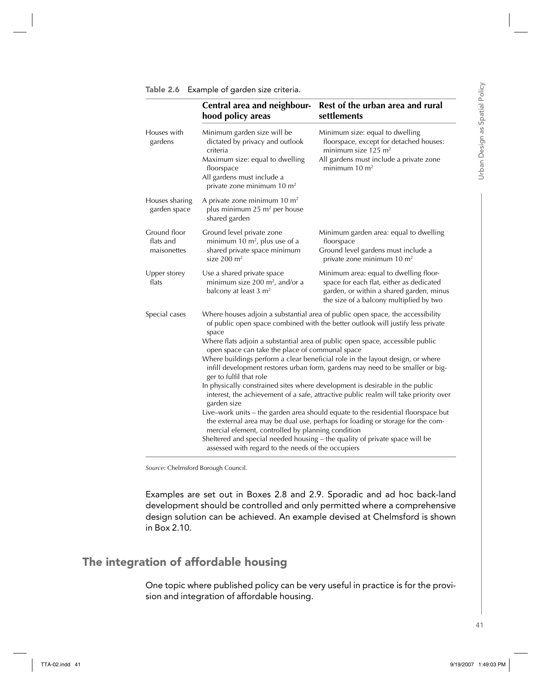#### **Table 2.6** Example of garden size criteria.

|                                          | Central area and neighbour-<br>hood policy areas                                                                                                                                                              | Rest of the urban area and rural<br>settlements                                                                                                                                                                                                                                                                                                                                                                                                                                                                                                                                                                                                                                                                                                                                                                                                      |
|------------------------------------------|---------------------------------------------------------------------------------------------------------------------------------------------------------------------------------------------------------------|------------------------------------------------------------------------------------------------------------------------------------------------------------------------------------------------------------------------------------------------------------------------------------------------------------------------------------------------------------------------------------------------------------------------------------------------------------------------------------------------------------------------------------------------------------------------------------------------------------------------------------------------------------------------------------------------------------------------------------------------------------------------------------------------------------------------------------------------------|
| Houses with<br>gardens                   | Minimum garden size will be<br>dictated by privacy and outlook<br>criteria<br>Maximum size: equal to dwelling<br>floorspace<br>All gardens must include a<br>private zone minimum 10 m <sup>2</sup>           | Minimum size: equal to dwelling<br>floorspace, except for detached houses:<br>minimum size $125 \text{ m}^2$<br>All gardens must include a private zone<br>minimum $10 \text{ m}^2$                                                                                                                                                                                                                                                                                                                                                                                                                                                                                                                                                                                                                                                                  |
| Houses sharing<br>garden space           | A private zone minimum $10 \text{ m}^2$<br>plus minimum $25 \text{ m}^2$ per house<br>shared garden                                                                                                           |                                                                                                                                                                                                                                                                                                                                                                                                                                                                                                                                                                                                                                                                                                                                                                                                                                                      |
| Ground floor<br>flats and<br>maisonettes | Ground level private zone<br>minimum 10 $m^2$ , plus use of a<br>shared private space minimum<br>size $200 \text{ m}^2$                                                                                       | Minimum garden area: equal to dwelling<br>floorspace<br>Ground level gardens must include a<br>private zone minimum $10 \text{ m}^2$                                                                                                                                                                                                                                                                                                                                                                                                                                                                                                                                                                                                                                                                                                                 |
| Upper storey<br>flats                    | Use a shared private space<br>minimum size 200 $m^2$ , and/or a<br>balcony at least 3 m <sup>2</sup>                                                                                                          | Minimum area: equal to dwelling floor-<br>space for each flat, either as dedicated<br>garden, or within a shared garden, minus<br>the size of a balcony multiplied by two                                                                                                                                                                                                                                                                                                                                                                                                                                                                                                                                                                                                                                                                            |
| Special cases                            | space<br>open space can take the place of communal space<br>ger to fulfil that role<br>garden size<br>mercial element, controlled by planning condition<br>assessed with regard to the needs of the occupiers | Where houses adjoin a substantial area of public open space, the accessibility<br>of public open space combined with the better outlook will justify less private<br>Where flats adjoin a substantial area of public open space, accessible public<br>Where buildings perform a clear beneficial role in the layout design, or where<br>infill development restores urban form, gardens may need to be smaller or big-<br>In physically constrained sites where development is desirable in the public<br>interest, the achievement of a safe, attractive public realm will take priority over<br>Live-work units - the garden area should equate to the residential floorspace but<br>the external area may be dual use, perhaps for loading or storage for the com-<br>Sheltered and special needed housing - the quality of private space will be |

*Source*: Chelmsford Borough Council.

Examples are set out in Boxes 2.8 and 2.9. Sporadic and ad hoc back-land development should be controlled and only permitted where a comprehensive design solution can be achieved. An example devised at Chelmsford is shown in Box 2.10.

## **The integration of affordable housing**

One topic where published policy can be very useful in practice is for the provision and integration of affordable housing.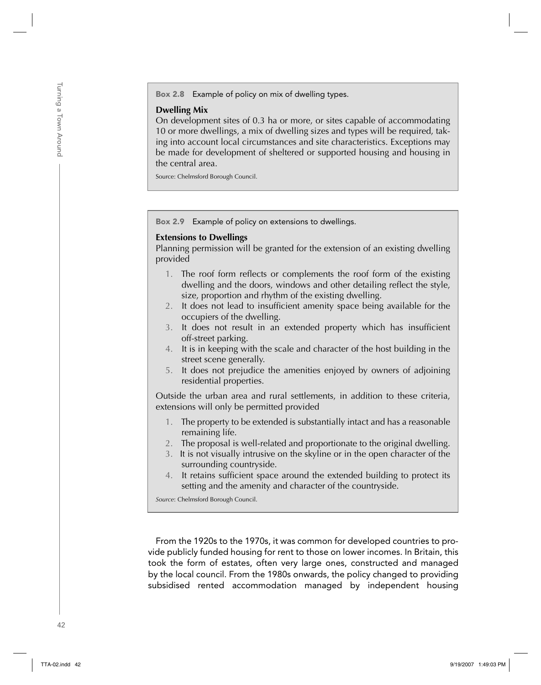**Box 2.8** Example of policy on mix of dwelling types.

#### **Dwelling Mix**

On development sites of 0.3 ha or more, or sites capable of accommodating 10 or more dwellings, a mix of dwelling sizes and types will be required, taking into account local circumstances and site characteristics. Exceptions may be made for development of sheltered or supported housing and housing in the central area.

Source: Chelmsford Borough Council.

**Box 2.9** Example of policy on extensions to dwellings.

#### **Extensions to Dwellings**

Planning permission will be granted for the extension of an existing dwelling provided

- 1. The roof form reflects or complements the roof form of the existing dwelling and the doors, windows and other detailing reflect the style, size, proportion and rhythm of the existing dwelling.
- 2. It does not lead to insufficient amenity space being available for the occupiers of the dwelling.
- 3. It does not result in an extended property which has insufficient off-street parking.
- 4. It is in keeping with the scale and character of the host building in the street scene generally.
- 5. It does not prejudice the amenities enjoyed by owners of adjoining residential properties.

Outside the urban area and rural settlements, in addition to these criteria, extensions will only be permitted provided

- 1. The property to be extended is substantially intact and has a reasonable remaining life.
- 2. The proposal is well-related and proportionate to the original dwelling.
- 3. It is not visually intrusive on the skyline or in the open character of the surrounding countryside.
- 4. It retains sufficient space around the extended building to protect its setting and the amenity and character of the countryside.

*Source*: Chelmsford Borough Council.

From the 1920s to the 1970s, it was common for developed countries to provide publicly funded housing for rent to those on lower incomes. In Britain, this took the form of estates, often very large ones, constructed and managed by the local council. From the 1980s onwards, the policy changed to providing subsidised rented accommodation managed by independent housing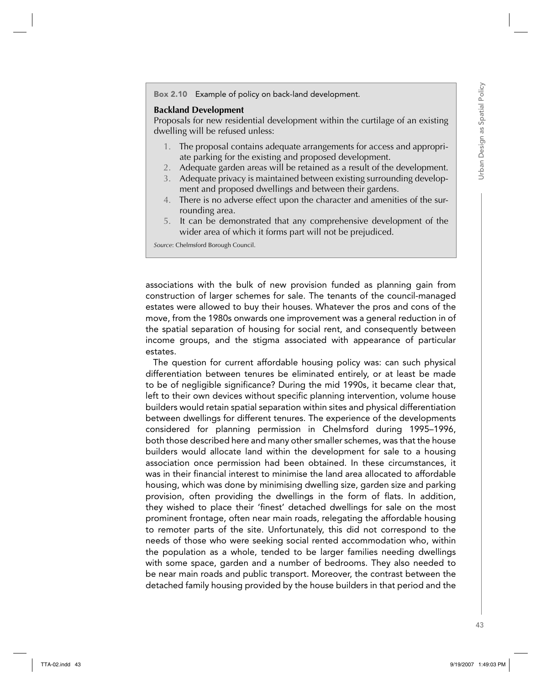**Box 2.10** Example of policy on back-land development.

#### **Backland Development**

Proposals for new residential development within the curtilage of an existing dwelling will be refused unless:

- 1. The proposal contains adequate arrangements for access and appropriate parking for the existing and proposed development.
- 2. Adequate garden areas will be retained as a result of the development.
- 3. Adequate privacy is maintained between existing surrounding development and proposed dwellings and between their gardens.
- 4. There is no adverse effect upon the character and amenities of the surrounding area.
- 5. It can be demonstrated that any comprehensive development of the wider area of which it forms part will not be prejudiced.

*Source*: Chelmsford Borough Council.

associations with the bulk of new provision funded as planning gain from construction of larger schemes for sale. The tenants of the council-managed estates were allowed to buy their houses. Whatever the pros and cons of the move, from the 1980s onwards one improvement was a general reduction in of the spatial separation of housing for social rent, and consequently between income groups, and the stigma associated with appearance of particular estates.

The question for current affordable housing policy was: can such physical differentiation between tenures be eliminated entirely, or at least be made to be of negligible significance? During the mid 1990s, it became clear that, left to their own devices without specific planning intervention, volume house builders would retain spatial separation within sites and physical differentiation between dwellings for different tenures. The experience of the developments considered for planning permission in Chelmsford during 1995–1996, both those described here and many other smaller schemes, was that the house builders would allocate land within the development for sale to a housing association once permission had been obtained. In these circumstances, it was in their financial interest to minimise the land area allocated to affordable housing, which was done by minimising dwelling size, garden size and parking provision, often providing the dwellings in the form of flats. In addition, they wished to place their 'finest' detached dwellings for sale on the most prominent frontage, often near main roads, relegating the affordable housing to remoter parts of the site. Unfortunately, this did not correspond to the needs of those who were seeking social rented accommodation who, within the population as a whole, tended to be larger families needing dwellings with some space, garden and a number of bedrooms. They also needed to be near main roads and public transport. Moreover, the contrast between the detached family housing provided by the house builders in that period and the